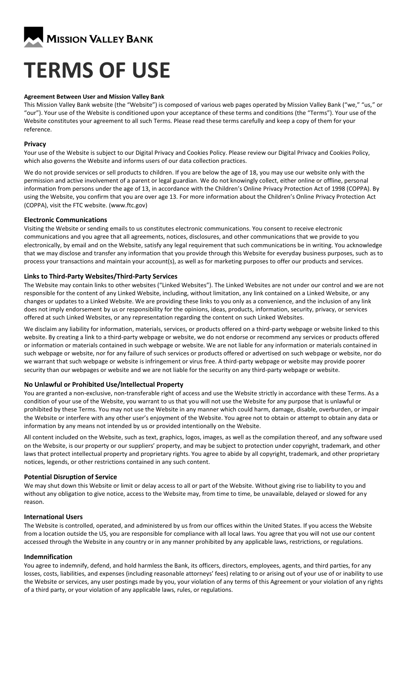

# **TERMS OF USE**

#### **Agreement Between User and Mission Valley Bank**

This Mission Valley Bank website (the "Website") is composed of various web pages operated by Mission Valley Bank ("we," "us," or "our"). Your use of the Website is conditioned upon your acceptance of these terms and conditions (the "Terms"). Your use of the Website constitutes your agreement to all such Terms. Please read these terms carefully and keep a copy of them for your reference.

#### **Privacy**

Your use of the Website is subject to our Digital Privacy and Cookies Policy. Please review our Digital Privacy and Cookies Policy, which also governs the Website and informs users of our data collection practices.

We do not provide services or sell products to children. If you are below the age of 18, you may use our website only with the permission and active involvement of a parent or legal guardian. We do not knowingly collect, either online or offline, personal information from persons under the age of 13, in accordance with the Children's Online Privacy Protection Act of 1998 (COPPA). By using the Website, you confirm that you are over age 13. For more information about the Children's Online Privacy Protection Act (COPPA), visit the FTC website. (www.ftc.gov)

#### **Electronic Communications**

Visiting the Website or sending emails to us constitutes electronic communications. You consent to receive electronic communications and you agree that all agreements, notices, disclosures, and other communications that we provide to you electronically, by email and on the Website, satisfy any legal requirement that such communications be in writing. You acknowledge that we may disclose and transfer any information that you provide through this Website for everyday business purposes, such as to process your transactions and maintain your account(s), as well as for marketing purposes to offer our products and services.

## **Links to Third-Party Websites/Third-Party Services**

The Website may contain links to other websites ("Linked Websites"). The Linked Websites are not under our control and we are not responsible for the content of any Linked Website, including, without limitation, any link contained on a Linked Website, or any changes or updates to a Linked Website. We are providing these links to you only as a convenience, and the inclusion of any link does not imply endorsement by us or responsibility for the opinions, ideas, products, information, security, privacy, or services offered at such Linked Websites, or any representation regarding the content on such Linked Websites.

We disclaim any liability for information, materials, services, or products offered on a third-party webpage or website linked to this website. By creating a link to a third-party webpage or website, we do not endorse or recommend any services or products offered or information or materials contained in such webpage or website. We are not liable for any information or materials contained in such webpage or website, nor for any failure of such services or products offered or advertised on such webpage or website, nor do we warrant that such webpage or website is infringement or virus free. A third-party webpage or website may provide poorer security than our webpages or website and we are not liable for the security on any third-party webpage or website.

# **No Unlawful or Prohibited Use/Intellectual Property**

You are granted a non-exclusive, non-transferable right of access and use the Website strictly in accordance with these Terms. As a condition of your use of the Website, you warrant to us that you will not use the Website for any purpose that is unlawful or prohibited by these Terms. You may not use the Website in any manner which could harm, damage, disable, overburden, or impair the Website or interfere with any other user's enjoyment of the Website. You agree not to obtain or attempt to obtain any data or information by any means not intended by us or provided intentionally on the Website.

All content included on the Website, such as text, graphics, logos, images, as well as the compilation thereof, and any software used on the Website, is our property or our suppliers' property, and may be subject to protection under copyright, trademark, and other laws that protect intellectual property and proprietary rights. You agree to abide by all copyright, trademark, and other proprietary notices, legends, or other restrictions contained in any such content.

#### **Potential Disruption of Service**

We may shut down this Website or limit or delay access to all or part of the Website. Without giving rise to liability to you and without any obligation to give notice, access to the Website may, from time to time, be unavailable, delayed or slowed for any reason.

#### **International Users**

The Website is controlled, operated, and administered by us from our offices within the United States. If you access the Website from a location outside the US, you are responsible for compliance with all local laws. You agree that you will not use our content accessed through the Website in any country or in any manner prohibited by any applicable laws, restrictions, or regulations.

#### **Indemnification**

You agree to indemnify, defend, and hold harmless the Bank, its officers, directors, employees, agents, and third parties, for any losses, costs, liabilities, and expenses (including reasonable attorneys' fees) relating to or arising out of your use of or inability to use the Website or services, any user postings made by you, your violation of any terms of this Agreement or your violation of any rights of a third party, or your violation of any applicable laws, rules, or regulations.